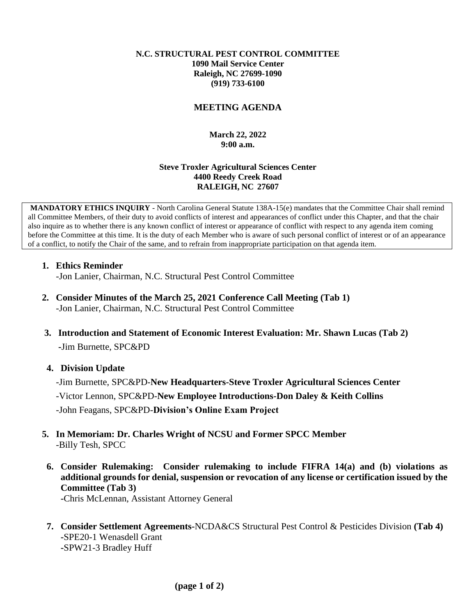#### **N.C. STRUCTURAL PEST CONTROL COMMITTEE 1090 Mail Service Center Raleigh, NC 27699-1090 (919) 733-6100**

# **MEETING AGENDA**

# **March 22, 2022 9:00 a.m.**

#### **Steve Troxler Agricultural Sciences Center 4400 Reedy Creek Road RALEIGH, NC 27607**

**MANDATORY ETHICS INQUIRY** - North Carolina General Statute 138A-15(e) mandates that the Committee Chair shall remind all Committee Members, of their duty to avoid conflicts of interest and appearances of conflict under this Chapter, and that the chair also inquire as to whether there is any known conflict of interest or appearance of conflict with respect to any agenda item coming before the Committee at this time. It is the duty of each Member who is aware of such personal conflict of interest or of an appearance of a conflict, to notify the Chair of the same, and to refrain from inappropriate participation on that agenda item.

# **1. Ethics Reminder**

-Jon Lanier, Chairman, N.C. Structural Pest Control Committee

- **2. Consider Minutes of the March 25, 2021 Conference Call Meeting (Tab 1)** -Jon Lanier, Chairman, N.C. Structural Pest Control Committee
- **3. Introduction and Statement of Economic Interest Evaluation: Mr. Shawn Lucas (Tab 2) -**Jim Burnette, SPC&PD

# **4. Division Update**

-Jim Burnette, SPC&PD-**New Headquarters-Steve Troxler Agricultural Sciences Center** -Victor Lennon, SPC&PD-**New Employee Introductions-Don Daley & Keith Collins**  -John Feagans, SPC&PD-**Division's Online Exam Project**

- **5. In Memoriam: Dr. Charles Wright of NCSU and Former SPCC Member** -Billy Tesh, SPCC
- **6. Consider Rulemaking: Consider rulemaking to include FIFRA 14(a) and (b) violations as additional grounds for denial, suspension or revocation of any license or certification issued by the Committee (Tab 3)**

**-**Chris McLennan, Assistant Attorney General

**7. Consider Settlement Agreements-**NCDA&CS Structural Pest Control & Pesticides Division **(Tab 4) -**SPE20-1 Wenasdell Grant **-**SPW21-3 Bradley Huff